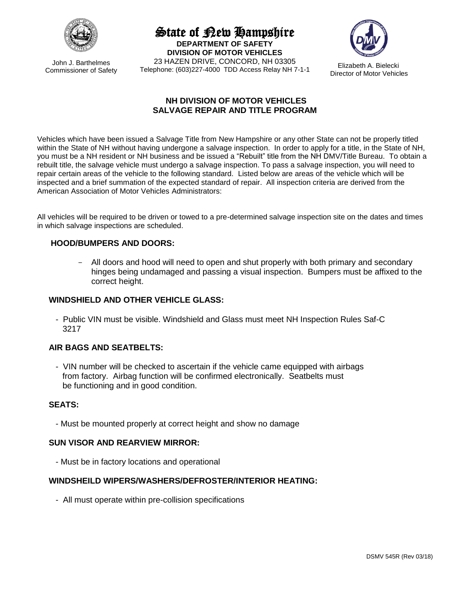

John J. Barthelmes Commissioner of Safety State of New Hampshire

**DEPARTMENT OF SAFETY DIVISION OF MOTOR VEHICLES** 23 HAZEN DRIVE, CONCORD, NH 03305 Telephone: (603)227-4000 TDD Access Relay NH 7-1-1



Elizabeth A. Bielecki Director of Motor Vehicles

## **NH DIVISION OF MOTOR VEHICLES SALVAGE REPAIR AND TITLE PROGRAM**

Vehicles which have been issued a Salvage Title from New Hampshire or any other State can not be properly titled within the State of NH without having undergone a salvage inspection. In order to apply for a title, in the State of NH, you must be a NH resident or NH business and be issued a "Rebuilt" title from the NH DMV/Title Bureau. To obtain a rebuilt title, the salvage vehicle must undergo a salvage inspection. To pass a salvage inspection, you will need to repair certain areas of the vehicle to the following standard. Listed below are areas of the vehicle which will be inspected and a brief summation of the expected standard of repair. All inspection criteria are derived from the American Association of Motor Vehicles Administrators:

All vehicles will be required to be driven or towed to a pre-determined salvage inspection site on the dates and times in which salvage inspections are scheduled.

## **HOOD/BUMPERS AND DOORS:**

All doors and hood will need to open and shut properly with both primary and secondary hinges being undamaged and passing a visual inspection. Bumpers must be affixed to the correct height.

## **WINDSHIELD AND OTHER VEHICLE GLASS:**

 - Public VIN must be visible. Windshield and Glass must meet NH Inspection Rules Saf-C 3217

## **AIR BAGS AND SEATBELTS:**

 - VIN number will be checked to ascertain if the vehicle came equipped with airbags from factory. Airbag function will be confirmed electronically. Seatbelts must be functioning and in good condition.

## **SEATS:**

- Must be mounted properly at correct height and show no damage

### **SUN VISOR AND REARVIEW MIRROR:**

- Must be in factory locations and operational

## **WINDSHEILD WIPERS/WASHERS/DEFROSTER/INTERIOR HEATING:**

- All must operate within pre-collision specifications